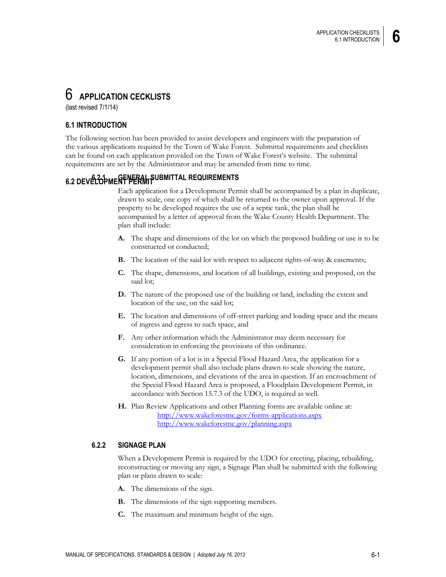# 6 **APPLICATION CECKLISTS**

(last revised 7/1/14)

## **6.1 INTRODUCTION**

The following section has been provided to assist developers and engineers with the preparation of the various applications required by the Town of Wake Forest. Submittal requirements and checklists can be found on each application provided on the Town of Wake Forest's website. The submittal requirements are set by the Administrator and may be amended from time to time.

# **6.2 DEVELOPMENT PERMIT 6.2.1 GENERAL SUBMITTAL REQUIREMENTS**

Each application for a Development Permit shall be accompanied by a plan in duplicate, drawn to scale, one copy of which shall be returned to the owner upon approval. If the property to be developed requires the use of a septic tank, the plan shall be accompanied by a letter of approval from the Wake County Health Department. The plan shall include:

- **A.** The shape and dimensions of the lot on which the proposed building or use is to be constructed or conducted;
- **B.** The location of the said lot with respect to adjacent rights-of-way & easements;
- **C.** The shape, dimensions, and location of all buildings, existing and proposed, on the said lot;
- **D.** The nature of the proposed use of the building or land, including the extent and location of the use, on the said lot;
- **E.** The location and dimensions of off-street parking and loading space and the means of ingress and egress to such space, and
- **F.** Any other information which the Administrator may deem necessary for consideration in enforcing the provisions of this ordinance.
- **G.** If any portion of a lot is in a Special Flood Hazard Area, the application for a development permit shall also include plans drawn to scale showing the nature, location, dimensions, and elevations of the area in question. If an encroachment of the Special Flood Hazard Area is proposed, a Floodplain Development Permit, in accordance with Section 15.7.3 of the UDO, is required as well.
- **H.** Plan Review Applications and other Planning forms are available online at: <http://www.wakeforestnc.gov/forms-applications.aspx> <http://www.wakeforestnc.gov/planning.aspx>

#### **6.2.2 SIGNAGE PLAN**

When a Development Permit is required by the UDO for erecting, placing, rebuilding, reconstructing or moving any sign, a Signage Plan shall be submitted with the following plan or plans drawn to scale:

- **A.** The dimensions of the sign.
- **B.** The dimensions of the sign supporting members.
- **C.** The maximum and minimum height of the sign.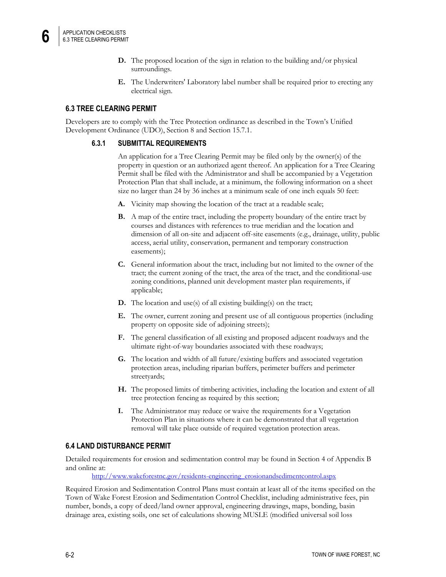- **D.** The proposed location of the sign in relation to the building and/or physical surroundings.
- **E.** The Underwriters' Laboratory label number shall be required prior to erecting any electrical sign.

### **6.3 TREE CLEARING PERMIT**

Developers are to comply with the Tree Protection ordinance as described in the Town's Unified Development Ordinance (UDO), Section 8 and Section 15.7.1.

#### **6.3.1 SUBMITTAL REQUIREMENTS**

An application for a Tree Clearing Permit may be filed only by the owner(s) of the property in question or an authorized agent thereof. An application for a Tree Clearing Permit shall be filed with the Administrator and shall be accompanied by a Vegetation Protection Plan that shall include, at a minimum, the following information on a sheet size no larger than 24 by 36 inches at a minimum scale of one inch equals 50 feet:

- **A.** Vicinity map showing the location of the tract at a readable scale;
- **B.** A map of the entire tract, including the property boundary of the entire tract by courses and distances with references to true meridian and the location and dimension of all on-site and adjacent off-site easements (e.g., drainage, utility, public access, aerial utility, conservation, permanent and temporary construction easements);
- **C.** General information about the tract, including but not limited to the owner of the tract; the current zoning of the tract, the area of the tract, and the conditional-use zoning conditions, planned unit development master plan requirements, if applicable;
- **D.** The location and use(s) of all existing building(s) on the tract;
- **E.** The owner, current zoning and present use of all contiguous properties (including property on opposite side of adjoining streets);
- **F.** The general classification of all existing and proposed adjacent roadways and the ultimate right-of-way boundaries associated with these roadways;
- **G.** The location and width of all future/existing buffers and associated vegetation protection areas, including riparian buffers, perimeter buffers and perimeter streetyards;
- **H.** The proposed limits of timbering activities, including the location and extent of all tree protection fencing as required by this section;
- **I.** The Administrator may reduce or waive the requirements for a Vegetation Protection Plan in situations where it can be demonstrated that all vegetation removal will take place outside of required vegetation protection areas.

#### **6.4 LAND DISTURBANCE PERMIT**

Detailed requirements for erosion and sedimentation control may be found in Section 4 of Appendix B and online at:

[http://www.wakeforestnc.gov/residents-engineering\\_erosionandsedimentcontrol.aspx](http://www.wakeforestnc.gov/residents-engineering_erosionandsedimentcontrol.aspx)

Required Erosion and Sedimentation Control Plans must contain at least all of the items specified on the Town of Wake Forest Erosion and Sedimentation Control Checklist, including administrative fees, pin number, bonds, a copy of deed/land owner approval, engineering drawings, maps, bonding, basin drainage area, existing soils, one set of calculations showing MUSLE (modified universal soil loss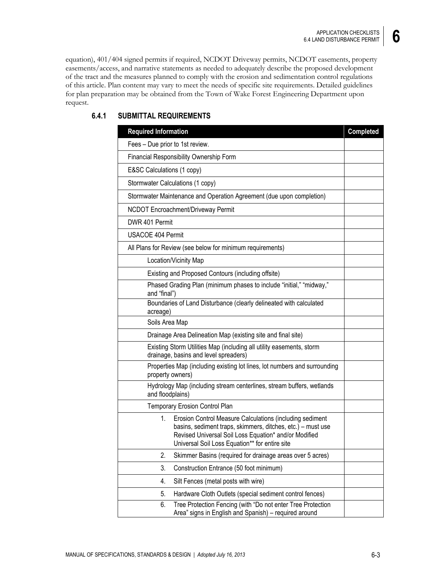equation), 401/404 signed permits if required, NCDOT Driveway permits, NCDOT easements, property easements/access, and narrative statements as needed to adequately describe the proposed development of the tract and the measures planned to comply with the erosion and sedimentation control regulations of this article. Plan content may vary to meet the needs of specific site requirements. Detailed guidelines for plan preparation may be obtained from the Town of Wake Forest Engineering Department upon request.

| <b>Required Information</b>                                                                                                                                                                                                                       | <b>Completed</b> |
|---------------------------------------------------------------------------------------------------------------------------------------------------------------------------------------------------------------------------------------------------|------------------|
| Fees - Due prior to 1st review.                                                                                                                                                                                                                   |                  |
| Financial Responsibility Ownership Form                                                                                                                                                                                                           |                  |
| E&SC Calculations (1 copy)                                                                                                                                                                                                                        |                  |
| Stormwater Calculations (1 copy)                                                                                                                                                                                                                  |                  |
| Stormwater Maintenance and Operation Agreement (due upon completion)                                                                                                                                                                              |                  |
| NCDOT Encroachment/Driveway Permit                                                                                                                                                                                                                |                  |
| DWR 401 Permit                                                                                                                                                                                                                                    |                  |
| USACOE 404 Permit                                                                                                                                                                                                                                 |                  |
| All Plans for Review (see below for minimum requirements)                                                                                                                                                                                         |                  |
| Location/Vicinity Map                                                                                                                                                                                                                             |                  |
| Existing and Proposed Contours (including offsite)                                                                                                                                                                                                |                  |
| Phased Grading Plan (minimum phases to include "initial," "midway,"<br>and "final")                                                                                                                                                               |                  |
| Boundaries of Land Disturbance (clearly delineated with calculated<br>acreage)                                                                                                                                                                    |                  |
| Soils Area Map                                                                                                                                                                                                                                    |                  |
| Drainage Area Delineation Map (existing site and final site)                                                                                                                                                                                      |                  |
| Existing Storm Utilities Map (including all utility easements, storm<br>drainage, basins and level spreaders)                                                                                                                                     |                  |
| Properties Map (including existing lot lines, lot numbers and surrounding<br>property owners)                                                                                                                                                     |                  |
| Hydrology Map (including stream centerlines, stream buffers, wetlands<br>and floodplains)                                                                                                                                                         |                  |
| <b>Temporary Erosion Control Plan</b>                                                                                                                                                                                                             |                  |
| $1_{\cdot}$<br>Erosion Control Measure Calculations (including sediment<br>basins, sediment traps, skimmers, ditches, etc.) – must use<br>Revised Universal Soil Loss Equation* and/or Modified<br>Universal Soil Loss Equation** for entire site |                  |
| 2.<br>Skimmer Basins (required for drainage areas over 5 acres)                                                                                                                                                                                   |                  |
| 3.<br>Construction Entrance (50 foot minimum)                                                                                                                                                                                                     |                  |
| 4.<br>Silt Fences (metal posts with wire)                                                                                                                                                                                                         |                  |
| 5.<br>Hardware Cloth Outlets (special sediment control fences)                                                                                                                                                                                    |                  |
| Tree Protection Fencing (with "Do not enter Tree Protection<br>6.<br>Area" signs in English and Spanish) - required around                                                                                                                        |                  |

## **6.4.1 SUBMITTAL REQUIREMENTS**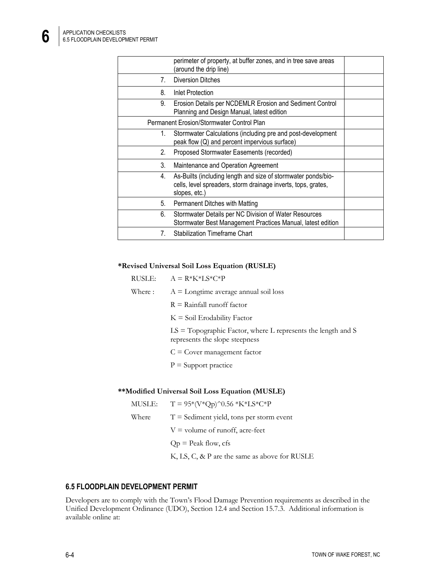|                                  | perimeter of property, at buffer zones, and in tree save areas<br>(around the drip line)                                                        |  |
|----------------------------------|-------------------------------------------------------------------------------------------------------------------------------------------------|--|
| 7.                               | <b>Diversion Ditches</b>                                                                                                                        |  |
| 8.                               | Inlet Protection                                                                                                                                |  |
| 9.                               | Erosion Details per NCDEMLR Erosion and Sediment Control<br>Planning and Design Manual, latest edition                                          |  |
|                                  | Permanent Erosion/Stormwater Control Plan                                                                                                       |  |
| 1.                               | Stormwater Calculations (including pre and post-development<br>peak flow (Q) and percent impervious surface)                                    |  |
| 2.                               | Proposed Stormwater Easements (recorded)                                                                                                        |  |
| 3.                               | Maintenance and Operation Agreement                                                                                                             |  |
| 4.                               | As-Builts (including length and size of stormwater ponds/bio-<br>cells, level spreaders, storm drainage inverts, tops, grates,<br>slopes, etc.) |  |
| 5.                               | Permanent Ditches with Matting                                                                                                                  |  |
| 6.                               | Stormwater Details per NC Division of Water Resources<br>Stormwater Best Management Practices Manual, latest edition                            |  |
| $7_{\scriptscriptstyle{\ddots}}$ | <b>Stabilization Timeframe Chart</b>                                                                                                            |  |

#### **\*Revised Universal Soil Loss Equation (RUSLE)**

| RUSLE: . | $A = R*K*LS*C*P$                                                                                  |
|----------|---------------------------------------------------------------------------------------------------|
| Where :  | $A =$ Longtime average annual soil loss                                                           |
|          | $R =$ Rainfall runoff factor                                                                      |
|          | $K =$ Soil Erodability Factor                                                                     |
|          | $LS = Topographic Factor$ , where L represents the length and S<br>represents the slope steepness |
|          | $C = Cover$ management factor                                                                     |
|          | $P =$ Support practice                                                                            |
|          |                                                                                                   |

#### **\*\*Modified Universal Soil Loss Equation (MUSLE)**

| MUSLE: | $T = 95*(V*Qp)^0.56 *K*LS*C*P$                |
|--------|-----------------------------------------------|
| Where  | $T =$ Sediment yield, tons per storm event    |
|        | $V =$ volume of runoff, acre-feet             |
|        | $Qp =$ Peak flow, cfs                         |
|        | K, LS, C, & P are the same as above for RUSLE |

## **6.5 FLOODPLAIN DEVELOPMENT PERMIT**

Developers are to comply with the Town's Flood Damage Prevention requirements as described in the Unified Development Ordinance (UDO), Section 12.4 and Section 15.7.3. Additional information is available online at: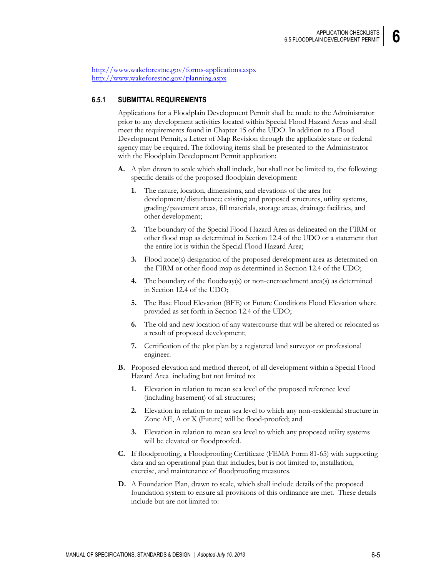<http://www.wakeforestnc.gov/forms-applications.aspx> <http://www.wakeforestnc.gov/planning.aspx>

#### **6.5.1 SUBMITTAL REQUIREMENTS**

Applications for a Floodplain Development Permit shall be made to the Administrator prior to any development activities located within Special Flood Hazard Areas and shall meet the requirements found in Chapter 15 of the UDO. In addition to a Flood Development Permit, a Letter of Map Revision through the applicable state or federal agency may be required. The following items shall be presented to the Administrator with the Floodplain Development Permit application:

- **A.** A plan drawn to scale which shall include, but shall not be limited to, the following: specific details of the proposed floodplain development:
	- **1.** The nature, location, dimensions, and elevations of the area for development/disturbance; existing and proposed structures, utility systems, grading/pavement areas, fill materials, storage areas, drainage facilities, and other development;
	- **2.** The boundary of the Special Flood Hazard Area as delineated on the FIRM or other flood map as determined in Section 12.4 of the UDO or a statement that the entire lot is within the Special Flood Hazard Area;
	- **3.** Flood zone(s) designation of the proposed development area as determined on the FIRM or other flood map as determined in Section 12.4 of the UDO;
	- **4.** The boundary of the floodway(s) or non-encroachment area(s) as determined in Section 12.4 of the UDO;
	- **5.** The Base Flood Elevation (BFE) or Future Conditions Flood Elevation where provided as set forth in Section 12.4 of the UDO;
	- **6.** The old and new location of any watercourse that will be altered or relocated as a result of proposed development;
	- **7.** Certification of the plot plan by a registered land surveyor or professional engineer.
- **B.** Proposed elevation and method thereof, of all development within a Special Flood Hazard Area including but not limited to:
	- **1.** Elevation in relation to mean sea level of the proposed reference level (including basement) of all structures;
	- **2.** Elevation in relation to mean sea level to which any non-residential structure in Zone AE, A or X (Future) will be flood-proofed; and
	- **3.** Elevation in relation to mean sea level to which any proposed utility systems will be elevated or floodproofed.
- **C.** If floodproofing, a Floodproofing Certificate (FEMA Form 81-65) with supporting data and an operational plan that includes, but is not limited to, installation, exercise, and maintenance of floodproofing measures.
- **D.** A Foundation Plan, drawn to scale, which shall include details of the proposed foundation system to ensure all provisions of this ordinance are met. These details include but are not limited to: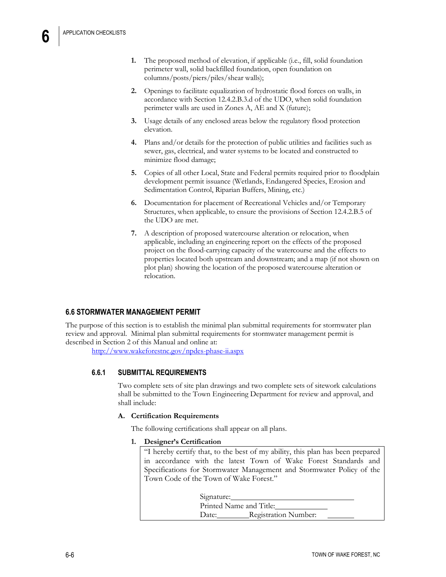- **1.** The proposed method of elevation, if applicable (i.e., fill, solid foundation perimeter wall, solid backfilled foundation, open foundation on columns/posts/piers/piles/shear walls);
- **2.** Openings to facilitate equalization of hydrostatic flood forces on walls, in accordance with Section 12.4.2.B.3.d of the UDO, when solid foundation perimeter walls are used in Zones A, AE and X (future);
- **3.** Usage details of any enclosed areas below the regulatory flood protection elevation.
- **4.** Plans and/or details for the protection of public utilities and facilities such as sewer, gas, electrical, and water systems to be located and constructed to minimize flood damage;
- **5.** Copies of all other Local, State and Federal permits required prior to floodplain development permit issuance (Wetlands, Endangered Species, Erosion and Sedimentation Control, Riparian Buffers, Mining, etc.)
- **6.** Documentation for placement of Recreational Vehicles and/or Temporary Structures, when applicable, to ensure the provisions of Section 12.4.2.B.5 of the UDO are met.
- **7.** A description of proposed watercourse alteration or relocation, when applicable, including an engineering report on the effects of the proposed project on the flood-carrying capacity of the watercourse and the effects to properties located both upstream and downstream; and a map (if not shown on plot plan) showing the location of the proposed watercourse alteration or relocation.

## **6.6 STORMWATER MANAGEMENT PERMIT**

The purpose of this section is to establish the minimal plan submittal requirements for stormwater plan review and approval. Minimal plan submittal requirements for stormwater management permit is described in Section 2 of this Manual and online at:

<http://www.wakeforestnc.gov/npdes-phase-ii.aspx>

#### **6.6.1 SUBMITTAL REQUIREMENTS**

Two complete sets of site plan drawings and two complete sets of sitework calculations shall be submitted to the Town Engineering Department for review and approval, and shall include:

#### **A. Certification Requirements**

The following certifications shall appear on all plans.

#### **1. Designer's Certification**

"I hereby certify that, to the best of my ability, this plan has been prepared in accordance with the latest Town of Wake Forest Standards and Specifications for Stormwater Management and Stormwater Policy of the Town Code of the Town of Wake Forest."

> Signature: Printed Name and Title: Date: Registration Number: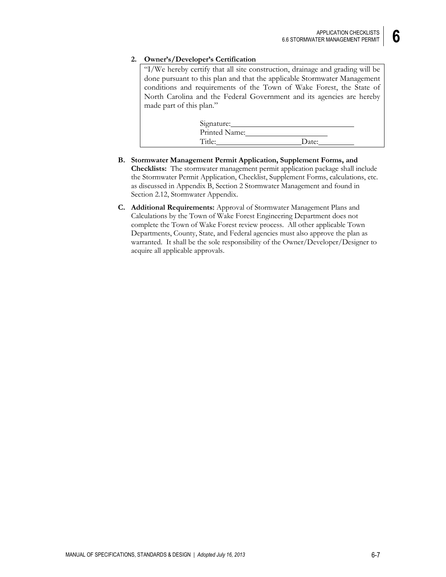#### **2. Owner's/Developer's Certification**

"I/We hereby certify that all site construction, drainage and grading will be done pursuant to this plan and that the applicable Stormwater Management conditions and requirements of the Town of Wake Forest, the State of North Carolina and the Federal Government and its agencies are hereby made part of this plan."

| Signature:    |       |
|---------------|-------|
| Printed Name: |       |
| Title:        | Date: |

- **B. Stormwater Management Permit Application, Supplement Forms, and Checklists:** The stormwater management permit application package shall include the Stormwater Permit Application, Checklist, Supplement Forms, calculations, etc. as discussed in Appendix B, Section 2 Stormwater Management and found in Section 2.12, Stormwater Appendix.
- **C. Additional Requirements:** Approval of Stormwater Management Plans and Calculations by the Town of Wake Forest Engineering Department does not complete the Town of Wake Forest review process. All other applicable Town Departments, County, State, and Federal agencies must also approve the plan as warranted. It shall be the sole responsibility of the Owner/Developer/Designer to acquire all applicable approvals.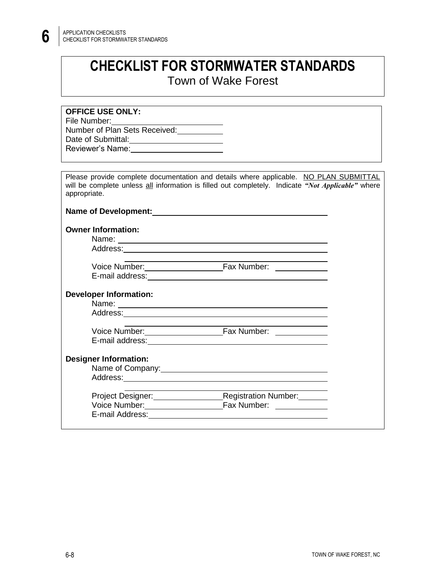# **CHECKLIST FOR STORMWATER STANDARDS** Town of Wake Forest

| <b>OFFICE USE ONLY:</b>                                                                                                                                                                                    |  |
|------------------------------------------------------------------------------------------------------------------------------------------------------------------------------------------------------------|--|
| File Number: View Management of the Number                                                                                                                                                                 |  |
| Number of Plan Sets Received:                                                                                                                                                                              |  |
| Date of Submittal:<br><u>Date of Submittal:</u>                                                                                                                                                            |  |
| Reviewer's Name:<br><u>Example 2008</u>                                                                                                                                                                    |  |
|                                                                                                                                                                                                            |  |
|                                                                                                                                                                                                            |  |
| Please provide complete documentation and details where applicable. NO PLAN SUBMITTAL<br>will be complete unless all information is filled out completely. Indicate "Not Applicable" where<br>appropriate. |  |
|                                                                                                                                                                                                            |  |
| <b>Owner Information:</b>                                                                                                                                                                                  |  |
|                                                                                                                                                                                                            |  |
|                                                                                                                                                                                                            |  |
|                                                                                                                                                                                                            |  |
|                                                                                                                                                                                                            |  |
|                                                                                                                                                                                                            |  |
| <b>Developer Information:</b>                                                                                                                                                                              |  |
|                                                                                                                                                                                                            |  |
|                                                                                                                                                                                                            |  |
|                                                                                                                                                                                                            |  |
|                                                                                                                                                                                                            |  |
|                                                                                                                                                                                                            |  |
|                                                                                                                                                                                                            |  |
| <b>Designer Information:</b>                                                                                                                                                                               |  |
| Name of Company: 1999 Manual Manual Manual Manual Manual Manual Manual Manual Manual Manual Manual Manual Manua                                                                                            |  |
|                                                                                                                                                                                                            |  |
| Project Designer: Registration Number: 2014                                                                                                                                                                |  |
|                                                                                                                                                                                                            |  |
|                                                                                                                                                                                                            |  |
|                                                                                                                                                                                                            |  |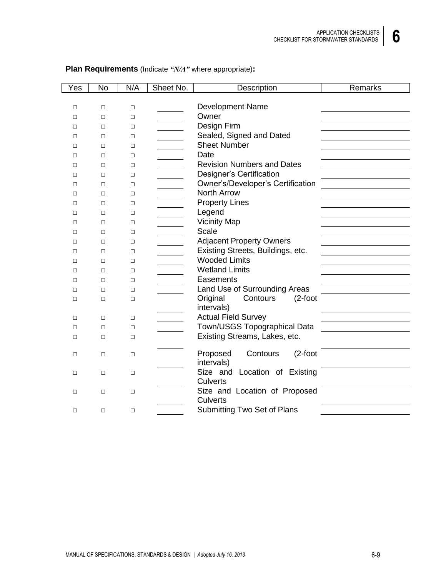|--|

| Yes    | <b>No</b> | N/A    | Sheet No. | Description                        | Remarks |
|--------|-----------|--------|-----------|------------------------------------|---------|
|        |           |        |           |                                    |         |
| $\Box$ | $\Box$    | $\Box$ |           | <b>Development Name</b>            |         |
| $\Box$ | $\Box$    | □      |           | Owner                              |         |
| П      | □         | □      |           | Design Firm                        |         |
| $\Box$ | □         | □      |           | Sealed, Signed and Dated           |         |
| $\Box$ | □         | □      |           | <b>Sheet Number</b>                |         |
| $\Box$ | $\Box$    | $\Box$ |           | Date                               |         |
| □      | □         | □      |           | <b>Revision Numbers and Dates</b>  |         |
| П      | □         | □      |           | Designer's Certification           |         |
| П      | □         | □      |           | Owner's/Developer's Certification  |         |
| □      | $\Box$    | $\Box$ |           | <b>North Arrow</b>                 |         |
| □      | $\Box$    | $\Box$ |           | <b>Property Lines</b>              |         |
| □      | □         | $\Box$ |           | Legend                             |         |
| $\Box$ | $\Box$    | $\Box$ |           | <b>Vicinity Map</b>                |         |
| $\Box$ | □         | □      |           | Scale                              |         |
| П      | $\Box$    | □      |           | <b>Adjacent Property Owners</b>    |         |
| П      | □         | □      |           | Existing Streets, Buildings, etc.  |         |
| $\Box$ | □         | □      |           | <b>Wooded Limits</b>               |         |
| □      | □         | □      |           | <b>Wetland Limits</b>              |         |
| П      | □         | □      |           | Easements                          |         |
| $\Box$ | $\Box$    | □      |           | Land Use of Surrounding Areas      |         |
| $\Box$ | □         | □      |           | Original<br>Contours<br>$(2$ -foot |         |
|        |           |        |           | intervals)                         |         |
| $\Box$ | $\Box$    | □      |           | <b>Actual Field Survey</b>         |         |
| $\Box$ | $\Box$    | □      |           | Town/USGS Topographical Data       |         |
| $\Box$ | $\Box$    | $\Box$ |           | Existing Streams, Lakes, etc.      |         |
| $\Box$ | $\Box$    | $\Box$ |           | $(2$ -foot<br>Proposed<br>Contours |         |
|        |           |        |           | intervals)                         |         |
| $\Box$ | $\Box$    | $\Box$ |           | Size and Location of Existing      |         |
|        |           |        |           | <b>Culverts</b>                    |         |
| □      | $\Box$    | $\Box$ |           | Size and Location of Proposed      |         |
|        |           |        |           | <b>Culverts</b>                    |         |
| $\Box$ | □         | $\Box$ |           | Submitting Two Set of Plans        |         |

## **Plan Requirements** (Indicate *"N/A"* where appropriate)**:**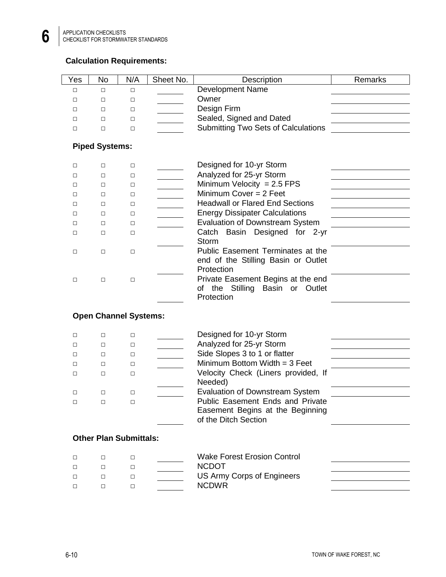## **Calculation Requirements:**

| Yes    | No                    | N/A                           | Sheet No. | Description                                | Remarks |
|--------|-----------------------|-------------------------------|-----------|--------------------------------------------|---------|
| $\Box$ | $\Box$                | $\Box$                        |           | Development Name                           |         |
| $\Box$ | □                     | $\Box$                        |           | Owner                                      |         |
| $\Box$ | $\Box$                | $\Box$                        |           | Design Firm                                |         |
| $\Box$ | $\Box$                | $\Box$                        |           | Sealed, Signed and Dated                   |         |
| $\Box$ | □                     | $\Box$                        |           | <b>Submitting Two Sets of Calculations</b> |         |
|        |                       |                               |           |                                            |         |
|        | <b>Piped Systems:</b> |                               |           |                                            |         |
| $\Box$ | □                     | $\Box$                        |           | Designed for 10-yr Storm                   |         |
| □      | □                     | $\Box$                        |           | Analyzed for 25-yr Storm                   |         |
| □      | □                     | $\Box$                        |           | Minimum Velocity = $2.5$ FPS               |         |
| □      | □                     | $\Box$                        |           | Minimum Cover $= 2$ Feet                   |         |
| □      | □                     | $\Box$                        |           | <b>Headwall or Flared End Sections</b>     |         |
| $\Box$ | $\Box$                | $\Box$                        |           | <b>Energy Dissipater Calculations</b>      |         |
| □      | □                     | $\Box$                        |           | <b>Evaluation of Downstream System</b>     |         |
| $\Box$ | $\Box$                | $\Box$                        |           | Catch Basin Designed for 2-yr              |         |
|        |                       |                               |           | <b>Storm</b>                               |         |
| $\Box$ | $\Box$                | $\Box$                        |           | Public Easement Terminates at the          |         |
|        |                       |                               |           | end of the Stilling Basin or Outlet        |         |
|        |                       |                               |           | Protection                                 |         |
| $\Box$ | $\Box$                | $\Box$                        |           | Private Easement Begins at the end         |         |
|        |                       |                               |           | of the Stilling Basin or Outlet            |         |
|        |                       |                               |           | Protection                                 |         |
|        |                       | <b>Open Channel Systems:</b>  |           |                                            |         |
|        |                       |                               |           |                                            |         |
| □      | □                     | $\Box$                        |           | Designed for 10-yr Storm                   |         |
| $\Box$ | $\Box$                | $\Box$                        |           | Analyzed for 25-yr Storm                   |         |
| □      | □                     | $\Box$                        |           | Side Slopes 3 to 1 or flatter              |         |
| □      | □                     | $\Box$                        |           | Minimum Bottom Width $=$ 3 Feet            |         |
| $\Box$ | $\Box$                | $\Box$                        |           | Velocity Check (Liners provided, If        |         |
|        |                       |                               |           | Needed)                                    |         |
| $\Box$ | $\Box$                | $\Box$                        |           | Evaluation of Downstream System            |         |
|        | $\Box$                |                               |           | Public Easement Ends and Private           |         |
|        |                       |                               |           | Easement Begins at the Beginning           |         |
|        |                       |                               |           | of the Ditch Section                       |         |
|        |                       | <b>Other Plan Submittals:</b> |           |                                            |         |
|        |                       |                               |           |                                            |         |
| $\Box$ | $\Box$                | $\Box$                        |           | <b>Wake Forest Erosion Control</b>         |         |
| □      | $\Box$                | $\Box$                        |           | <b>NCDOT</b>                               |         |
| □      | □                     | $\Box$                        |           | US Army Corps of Engineers                 |         |
| $\Box$ | $\Box$                | $\Box$                        |           | <b>NCDWR</b>                               |         |
|        |                       |                               |           |                                            |         |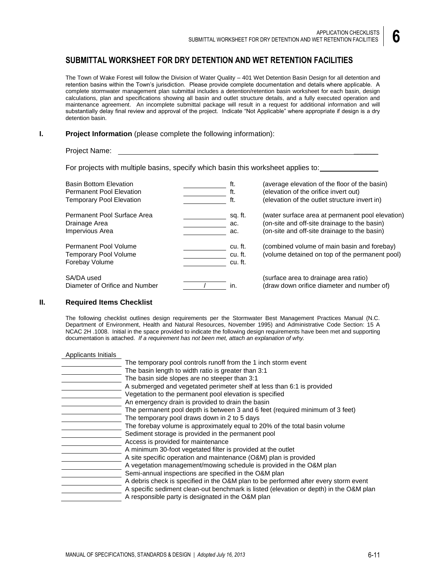## **SUBMITTAL WORKSHEET FOR DRY DETENTION AND WET RETENTION FACILITIES**

The Town of Wake Forest will follow the Division of Water Quality – 401 Wet Detention Basin Design for all detention and retention basins within the Town's jurisdiction. Please provide complete documentation and details where applicable. A complete stormwater management plan submittal includes a detention/retention basin worksheet for each basin, design calculations, plan and specifications showing all basin and outlet structure details, and a fully executed operation and maintenance agreement. An incomplete submittal package will result in a request for additional information and will substantially delay final review and approval of the project. Indicate "Not Applicable" where appropriate if design is a dry detention basin.

#### **I. Project Information** (please complete the following information):

#### Project Name:

For projects with multiple basins, specify which basin this worksheet applies to:

| <b>Basin Bottom Elevation</b>                                           | ft.                           | (average elevation of the floor of the basin)                                                 |
|-------------------------------------------------------------------------|-------------------------------|-----------------------------------------------------------------------------------------------|
| <b>Permanent Pool Elevation</b>                                         | ft.                           | (elevation of the orifice invert out)                                                         |
| <b>Temporary Pool Elevation</b>                                         | ft.                           | (elevation of the outlet structure invert in)                                                 |
| Permanent Pool Surface Area                                             | sq. ft.                       | (water surface area at permanent pool elevation)                                              |
| Drainage Area                                                           | ac.                           | (on-site and off-site drainage to the basin)                                                  |
| Impervious Area                                                         | ac.                           | (on-site and off-site drainage to the basin)                                                  |
| Permanent Pool Volume<br><b>Temporary Pool Volume</b><br>Forebay Volume | cu. ft.<br>cu. ft.<br>cu. ft. | (combined volume of main basin and forebay)<br>(volume detained on top of the permanent pool) |
| SA/DA used<br>Diameter of Orifice and Number                            | in.                           | (surface area to drainage area ratio)<br>(draw down orifice diameter and number of)           |

#### **II. Required Items Checklist**

The following checklist outlines design requirements per the Stormwater Best Management Practices Manual (N.C. Department of Environment, Health and Natural Resources, November 1995) and Administrative Code Section: 15 A NCAC 2H .1008. Initial in the space provided to indicate the following design requirements have been met and supporting documentation is attached. *If a requirement has not been met, attach an explanation of why.*

| Applicants Initials |                                                                                        |
|---------------------|----------------------------------------------------------------------------------------|
|                     | The temporary pool controls runoff from the 1 inch storm event                         |
|                     | The basin length to width ratio is greater than 3:1                                    |
|                     | The basin side slopes are no steeper than 3:1                                          |
|                     | A submerged and vegetated perimeter shelf at less than 6:1 is provided                 |
|                     | Vegetation to the permanent pool elevation is specified                                |
|                     | An emergency drain is provided to drain the basin                                      |
|                     | The permanent pool depth is between 3 and 6 feet (required minimum of 3 feet)          |
|                     | The temporary pool draws down in 2 to 5 days                                           |
|                     | The forebay volume is approximately equal to 20% of the total basin volume             |
|                     | Sediment storage is provided in the permanent pool                                     |
|                     | Access is provided for maintenance                                                     |
|                     | A minimum 30-foot vegetated filter is provided at the outlet                           |
|                     | A site specific operation and maintenance (O&M) plan is provided                       |
|                     | A vegetation management/mowing schedule is provided in the O&M plan                    |
|                     | Semi-annual inspections are specified in the O&M plan                                  |
|                     | A debris check is specified in the O&M plan to be performed after every storm event    |
|                     | A specific sediment clean-out benchmark is listed (elevation or depth) in the O&M plan |
|                     | A responsible party is designated in the O&M plan                                      |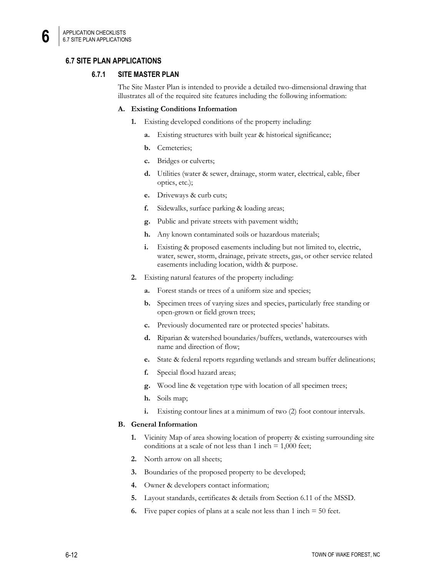## **6.7 SITE PLAN APPLICATIONS**

#### **6.7.1 SITE MASTER PLAN**

The Site Master Plan is intended to provide a detailed two-dimensional drawing that illustrates all of the required site features including the following information:

#### **A. Existing Conditions Information**

- **1.** Existing developed conditions of the property including:
	- **a.** Existing structures with built year & historical significance;
	- **b.** Cemeteries;
	- **c.** Bridges or culverts;
	- **d.** Utilities (water & sewer, drainage, storm water, electrical, cable, fiber optics, etc.);
	- **e.** Driveways & curb cuts;
	- **f.** Sidewalks, surface parking & loading areas;
	- **g.** Public and private streets with pavement width;
	- **h.** Any known contaminated soils or hazardous materials;
	- **i.** Existing & proposed easements including but not limited to, electric, water, sewer, storm, drainage, private streets, gas, or other service related easements including location, width & purpose.
- **2.** Existing natural features of the property including:
	- **a.** Forest stands or trees of a uniform size and species;
	- **b.** Specimen trees of varying sizes and species, particularly free standing or open-grown or field grown trees;
	- **c.** Previously documented rare or protected species' habitats.
	- **d.** Riparian & watershed boundaries/buffers, wetlands, watercourses with name and direction of flow;
	- **e.** State & federal reports regarding wetlands and stream buffer delineations;
	- **f.** Special flood hazard areas;
	- **g.** Wood line & vegetation type with location of all specimen trees;
	- **h.** Soils map;
	- **i.** Existing contour lines at a minimum of two (2) foot contour intervals.

#### **B. General Information**

- **1.** Vicinity Map of area showing location of property & existing surrounding site conditions at a scale of not less than  $1$  inch  $= 1,000$  feet;
- **2.** North arrow on all sheets;
- **3.** Boundaries of the proposed property to be developed;
- **4.** Owner & developers contact information;
- **5.** Layout standards, certificates & details from Section 6.11 of the MSSD.
- **6.** Five paper copies of plans at a scale not less than  $1$  inch  $= 50$  feet.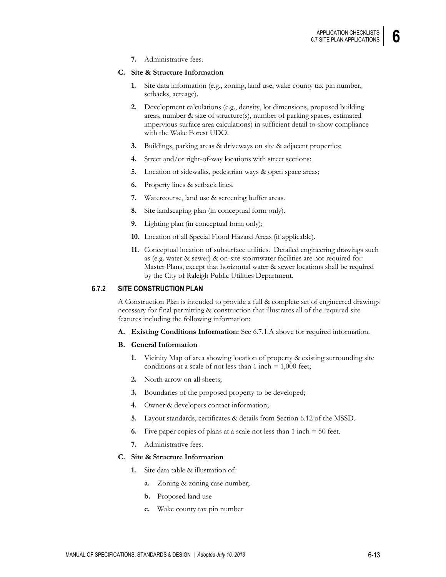**7.** Administrative fees.

#### **C. Site & Structure Information**

- **1.** Site data information (e.g., zoning, land use, wake county tax pin number, setbacks, acreage).
- **2.** Development calculations (e.g., density, lot dimensions, proposed building areas, number & size of structure(s), number of parking spaces, estimated impervious surface area calculations) in sufficient detail to show compliance with the Wake Forest UDO.
- **3.** Buildings, parking areas & driveways on site & adjacent properties;
- **4.** Street and/or right-of-way locations with street sections;
- **5.** Location of sidewalks, pedestrian ways & open space areas;
- **6.** Property lines & setback lines.
- **7.** Watercourse, land use & screening buffer areas.
- **8.** Site landscaping plan (in conceptual form only).
- **9.** Lighting plan (in conceptual form only);
- **10.** Location of all Special Flood Hazard Areas (if applicable).
- **11.** Conceptual location of subsurface utilities. Detailed engineering drawings such as (e.g. water & sewer) & on-site stormwater facilities are not required for Master Plans, except that horizontal water & sewer locations shall be required by the City of Raleigh Public Utilities Department.

#### **6.7.2 SITE CONSTRUCTION PLAN**

A Construction Plan is intended to provide a full & complete set of engineered drawings necessary for final permitting & construction that illustrates all of the required site features including the following information:

- **A. Existing Conditions Information:** See 6.7.1.A above for required information.
- **B. General Information** 
	- **1.** Vicinity Map of area showing location of property & existing surrounding site conditions at a scale of not less than  $1$  inch  $= 1,000$  feet;
	- **2.** North arrow on all sheets;
	- **3.** Boundaries of the proposed property to be developed;
	- **4.** Owner & developers contact information;
	- **5.** Layout standards, certificates & details from Section 6.12 of the MSSD.
	- **6.** Five paper copies of plans at a scale not less than 1 inch = 50 feet.
	- **7.** Administrative fees.

#### **C. Site & Structure Information**

- **1.** Site data table & illustration of:
	- **a.** Zoning & zoning case number;
	- **b.** Proposed land use
	- **c.** Wake county tax pin number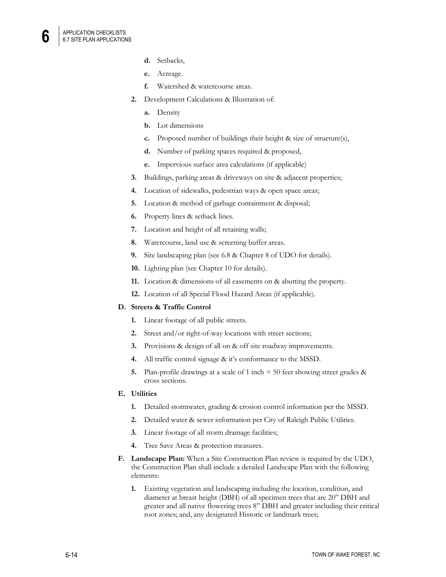- **d.** Setbacks,
- **e.** Acreage.
- **f.** Watershed & watercourse areas.
- **2.** Development Calculations & Illustration of:
	- **a.** Density
	- **b.** Lot dimensions
	- **c.** Proposed number of buildings their height & size of structure(s),
	- **d.** Number of parking spaces required & proposed,
	- **e.** Impervious surface area calculations (if applicable)
- **3.** Buildings, parking areas & driveways on site & adjacent properties;
- **4.** Location of sidewalks, pedestrian ways & open space areas;
- **5.** Location & method of garbage containment & disposal;
- **6.** Property lines & setback lines.
- **7.** Location and height of all retaining walls;
- **8.** Watercourse, land use & screening buffer areas.
- **9.** Site landscaping plan (see 6.8 & Chapter 8 of UDO for details).
- **10.** Lighting plan (see Chapter 10 for details).
- **11.** Location & dimensions of all easements on & abutting the property.
- **12.** Location of all Special Flood Hazard Areas (if applicable).

#### **D. Streets & Traffic Control**

- **1.** Linear footage of all public streets.
- **2.** Street and/or right-of-way locations with street sections;
- **3.** Provisions & design of all on & off site roadway improvements.
- **4.** All traffic control signage & it's conformance to the MSSD.
- **5.** Plan-profile drawings at a scale of 1 inch = 50 feet showing street grades & cross sections.

#### **E. Utilities**

- **1.** Detailed stormwater, grading & erosion control information per the MSSD.
- **2.** Detailed water & sewer information per City of Raleigh Public Utilities.
- **3.** Linear footage of all storm drainage facilities;
- **4.** Tree Save Areas & protection measures.
- **F. Landscape Plan:** When a Site Construction Plan review is required by the UDO, the Construction Plan shall include a detailed Landscape Plan with the following elements:
	- **1.** Existing vegetation and landscaping including the location, condition, and diameter at breast height (DBH) of all specimen trees that are 20" DBH and greater and all native flowering trees 8" DBH and greater including their critical root zones; and, any designated Historic or landmark trees;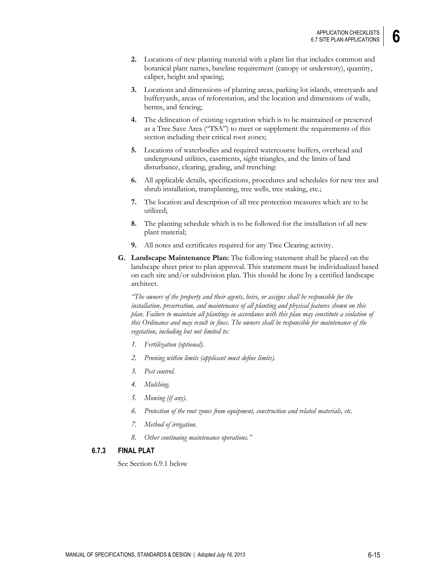- **2.** Locations of new planting material with a plant list that includes common and botanical plant names, baseline requirement (canopy or understory), quantity, caliper, height and spacing;
- **3.** Locations and dimensions of planting areas, parking lot islands, streetyards and bufferyards, areas of reforestation, and the location and dimensions of walls, berms, and fencing;
- **4.** The delineation of existing vegetation which is to be maintained or preserved as a Tree Save Area ("TSA") to meet or supplement the requirements of this section including their critical root zones;
- **5.** Locations of waterbodies and required watercourse buffers, overhead and underground utilities, easements, sight triangles, and the limits of land disturbance, clearing, grading, and trenching:
- **6.** All applicable details, specifications, procedures and schedules for new tree and shrub installation, transplanting, tree wells, tree staking, etc.;
- **7.** The location and description of all tree protection measures which are to be utilized;
- **8.** The planting schedule which is to be followed for the installation of all new plant material;
- **9.** All notes and certificates required for any Tree Clearing activity.
- **G. Landscape Maintenance Plan:** The following statement shall be placed on the landscape sheet prior to plan approval. This statement must be individualized based on each site and/or subdivision plan. This should be done by a certified landscape architect.

*"The owners of the property and their agents, heirs, or assigns shall be responsible for the installation, preservation, and maintenance of all planting and physical features shown on this plan. Failure to maintain all plantings in accordance with this plan may constitute a violation of this Ordinance and may result in fines. The owners shall be responsible for maintenance of the vegetation, including but not limited to:*

- *1. Fertilization (optional).*
- *2. Pruning within limits (applicant must define limits).*
- *3. Pest control.*
- *4. Mulching.*
- *5. Mowing (if any).*
- *6. Protection of the root zones from equipment, construction and related materials, etc.*
- *7. Method of irrigation.*
- *8. Other continuing maintenance operations."*

#### **6.7.3 FINAL PLAT**

See Section 6.9.1 below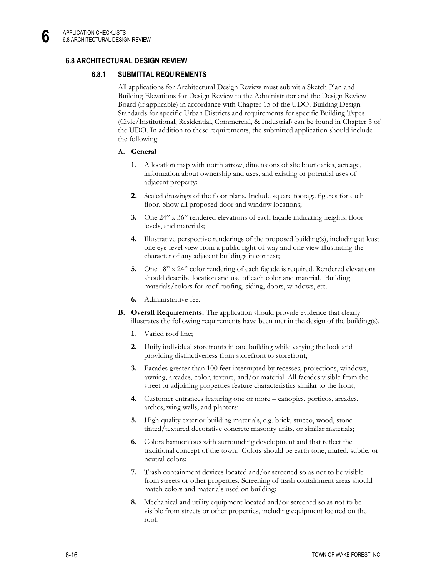## **6.8 ARCHITECTURAL DESIGN REVIEW**

#### **6.8.1 SUBMITTAL REQUIREMENTS**

All applications for Architectural Design Review must submit a Sketch Plan and Building Elevations for Design Review to the Administrator and the Design Review Board (if applicable) in accordance with Chapter 15 of the UDO. Building Design Standards for specific Urban Districts and requirements for specific Building Types (Civic/Institutional, Residential, Commercial, & Industrial) can be found in Chapter 5 of the UDO. In addition to these requirements, the submitted application should include the following:

#### **A. General**

- **1.** A location map with north arrow, dimensions of site boundaries, acreage, information about ownership and uses, and existing or potential uses of adjacent property;
- **2.** Scaled drawings of the floor plans. Include square footage figures for each floor. Show all proposed door and window locations;
- **3.** One 24" x 36" rendered elevations of each façade indicating heights, floor levels, and materials;
- **4.** Illustrative perspective renderings of the proposed building(s), including at least one eye-level view from a public right-of-way and one view illustrating the character of any adjacent buildings in context;
- **5.** One 18" x 24" color rendering of each façade is required. Rendered elevations should describe location and use of each color and material. Building materials/colors for roof roofing, siding, doors, windows, etc.
- **6.** Administrative fee.
- **B. Overall Requirements:** The application should provide evidence that clearly illustrates the following requirements have been met in the design of the building(s).
	- **1.** Varied roof line;
	- **2.** Unify individual storefronts in one building while varying the look and providing distinctiveness from storefront to storefront;
	- **3.** Facades greater than 100 feet interrupted by recesses, projections, windows, awning, arcades, color, texture, and/or material. All facades visible from the street or adjoining properties feature characteristics similar to the front;
	- **4.** Customer entrances featuring one or more canopies, porticos, arcades, arches, wing walls, and planters;
	- **5.** High quality exterior building materials, e.g. brick, stucco, wood, stone tinted/textured decorative concrete masonry units, or similar materials;
	- **6.** Colors harmonious with surrounding development and that reflect the traditional concept of the town. Colors should be earth tone, muted, subtle, or neutral colors;
	- **7.** Trash containment devices located and/or screened so as not to be visible from streets or other properties. Screening of trash containment areas should match colors and materials used on building;
	- **8.** Mechanical and utility equipment located and/or screened so as not to be visible from streets or other properties, including equipment located on the roof.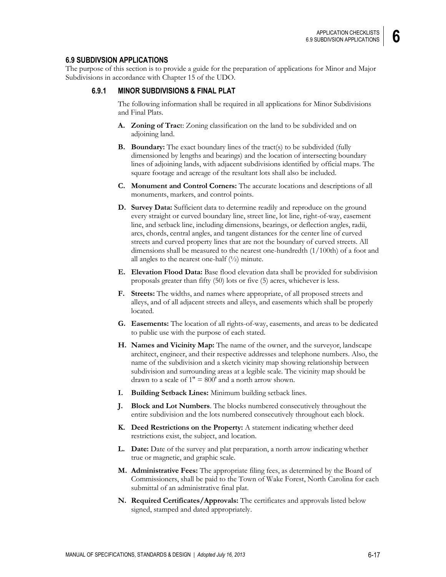#### **6.9 SUBDIVSION APPLICATIONS**

The purpose of this section is to provide a guide for the preparation of applications for Minor and Major Subdivisions in accordance with Chapter 15 of the UDO.

#### **6.9.1 MINOR SUBDIVISIONS & FINAL PLAT**

The following information shall be required in all applications for Minor Subdivisions and Final Plats.

- **A. Zoning of Trac**t: Zoning classification on the land to be subdivided and on adjoining land.
- **B. Boundary:** The exact boundary lines of the tract(s) to be subdivided (fully dimensioned by lengths and bearings) and the location of intersecting boundary lines of adjoining lands, with adjacent subdivisions identified by official maps. The square footage and acreage of the resultant lots shall also be included.
- **C. Monument and Control Corners:** The accurate locations and descriptions of all monuments, markers, and control points.
- **D. Survey Data:** Sufficient data to determine readily and reproduce on the ground every straight or curved boundary line, street line, lot line, right-of-way, easement line, and setback line, including dimensions, bearings, or deflection angles, radii, arcs, chords, central angles, and tangent distances for the center line of curved streets and curved property lines that are not the boundary of curved streets. All dimensions shall be measured to the nearest one-hundredth (1/100th) of a foot and all angles to the nearest one-half  $(\frac{1}{2})$  minute.
- **E. Elevation Flood Data:** Base flood elevation data shall be provided for subdivision proposals greater than fifty (50) lots or five (5) acres, whichever is less.
- **F. Streets:** The widths, and names where appropriate, of all proposed streets and alleys, and of all adjacent streets and alleys, and easements which shall be properly located.
- **G. Easements:** The location of all rights-of-way, easements, and areas to be dedicated to public use with the purpose of each stated.
- **H. Names and Vicinity Map:** The name of the owner, and the surveyor, landscape architect, engineer, and their respective addresses and telephone numbers. Also, the name of the subdivision and a sketch vicinity map showing relationship between subdivision and surrounding areas at a legible scale. The vicinity map should be drawn to a scale of  $1" = 800'$  and a north arrow shown.
- **I. Building Setback Lines:** Minimum building setback lines.
- **J. Block and Lot Numbers**. The blocks numbered consecutively throughout the entire subdivision and the lots numbered consecutively throughout each block.
- **K. Deed Restrictions on the Property:** A statement indicating whether deed restrictions exist, the subject, and location.
- **L. Date:** Date of the survey and plat preparation, a north arrow indicating whether true or magnetic, and graphic scale.
- **M. Administrative Fees:** The appropriate filing fees, as determined by the Board of Commissioners, shall be paid to the Town of Wake Forest, North Carolina for each submittal of an administrative final plat.
- **N. Required Certificates/Approvals:** The certificates and approvals listed below signed, stamped and dated appropriately.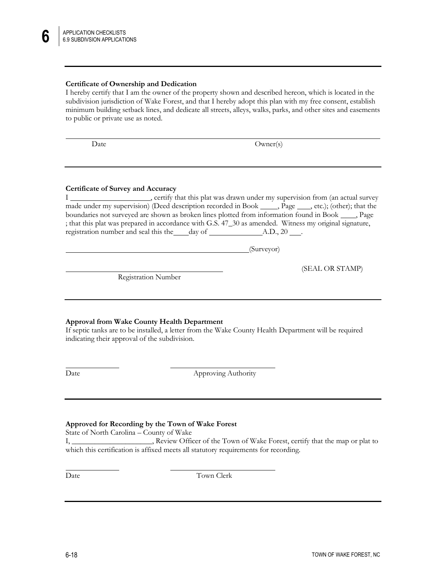#### **Certificate of Ownership and Dedication**

I hereby certify that I am the owner of the property shown and described hereon, which is located in the subdivision jurisdiction of Wake Forest, and that I hereby adopt this plan with my free consent, establish minimum building setback lines, and dedicate all streets, alleys, walks, parks, and other sites and easements to public or private use as noted.

Date Owner(s)

#### **Certificate of Survey and Accuracy**

I , certify that this plat was drawn under my supervision from (an actual survey made under my supervision) (Deed description recorded in Book  $\_\_\_$ , Page  $\_\_\_$ , etc.); (other); that the boundaries not surveyed are shown as broken lines plotted from information found in Book \_\_\_\_\_, Page ; that this plat was prepared in accordance with G.S. 47\_30 as amended. Witness my original signature, registration number and seal this the day of A.D., 20 .

(Surveyor)

Registration Number

#### **Approval from Wake County Health Department**

If septic tanks are to be installed, a letter from the Wake County Health Department will be required indicating their approval of the subdivision.

 $\overline{a}$ 

Date Approving Authority

#### **Approved for Recording by the Town of Wake Forest**

State of North Carolina – County of Wake

I, \_\_\_\_\_\_\_\_\_\_\_\_\_\_\_\_\_\_\_\_\_, Review Officer of the Town of Wake Forest, certify that the map or plat to which this certification is affixed meets all statutory requirements for recording.

 $\overline{a}$ 

Date Town Clerk

(SEAL OR STAMP)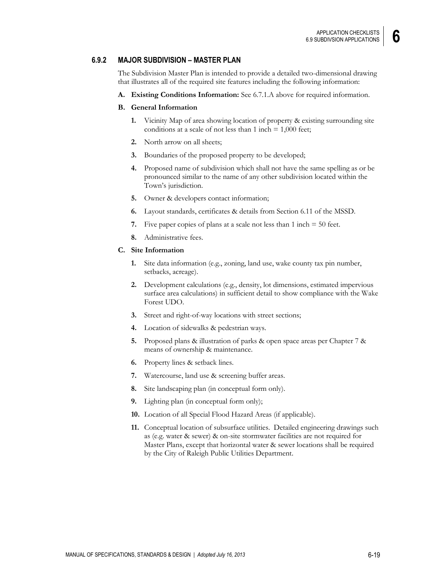#### **6.9.2 MAJOR SUBDIVISION – MASTER PLAN**

The Subdivision Master Plan is intended to provide a detailed two-dimensional drawing that illustrates all of the required site features including the following information:

**A. Existing Conditions Information:** See 6.7.1.A above for required information.

#### **B. General Information**

- **1.** Vicinity Map of area showing location of property & existing surrounding site conditions at a scale of not less than  $1$  inch  $= 1,000$  feet;
- **2.** North arrow on all sheets;
- **3.** Boundaries of the proposed property to be developed;
- **4.** Proposed name of subdivision which shall not have the same spelling as or be pronounced similar to the name of any other subdivision located within the Town's jurisdiction.
- **5.** Owner & developers contact information;
- **6.** Layout standards, certificates & details from Section 6.11 of the MSSD.
- **7.** Five paper copies of plans at a scale not less than 1 inch = 50 feet.
- **8.** Administrative fees.

#### **C. Site Information**

- **1.** Site data information (e.g., zoning, land use, wake county tax pin number, setbacks, acreage).
- **2.** Development calculations (e.g., density, lot dimensions, estimated impervious surface area calculations) in sufficient detail to show compliance with the Wake Forest UDO.
- **3.** Street and right-of-way locations with street sections;
- **4.** Location of sidewalks & pedestrian ways.
- **5.** Proposed plans & illustration of parks & open space areas per Chapter 7 & means of ownership & maintenance.
- **6.** Property lines & setback lines.
- **7.** Watercourse, land use & screening buffer areas.
- **8.** Site landscaping plan (in conceptual form only).
- **9.** Lighting plan (in conceptual form only);
- **10.** Location of all Special Flood Hazard Areas (if applicable).
- **11.** Conceptual location of subsurface utilities. Detailed engineering drawings such as (e.g. water & sewer) & on-site stormwater facilities are not required for Master Plans, except that horizontal water & sewer locations shall be required by the City of Raleigh Public Utilities Department.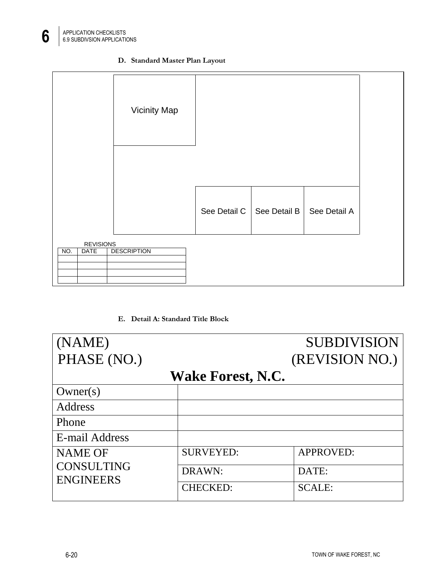



**E. Detail A: Standard Title Block**

| (NAME)            |                          | <b>SUBDIVISION</b> |
|-------------------|--------------------------|--------------------|
| PHASE (NO.)       |                          | (REVISION NO.)     |
|                   | <b>Wake Forest, N.C.</b> |                    |
| Owner(s)          |                          |                    |
| Address           |                          |                    |
| Phone             |                          |                    |
| E-mail Address    |                          |                    |
| <b>NAME OF</b>    | <b>SURVEYED:</b>         | <b>APPROVED:</b>   |
| <b>CONSULTING</b> | DRAWN:                   | DATE:              |
| <b>ENGINEERS</b>  | <b>CHECKED:</b>          | <b>SCALE:</b>      |

6-20 TOWN OF WAKE FOREST, NC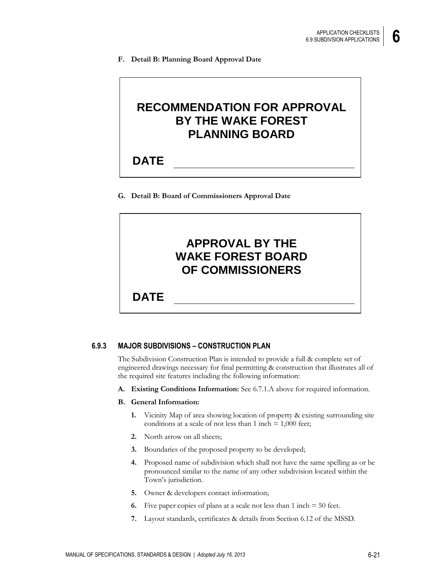**F. Detail B: Planning Board Approval Date**

## **RECOMMENDATION FOR APPROVAL BY THE WAKE FOREST PLANNING BOARD**

## **DATE**

**G. Detail B: Board of Commissioners Approval Date**

# **APPROVAL BY THE WAKE FOREST BOARD OF COMMISSIONERS**

**DATE**

## **6.9.3 MAJOR SUBDIVISIONS – CONSTRUCTION PLAN**

The Subdivision Construction Plan is intended to provide a full & complete set of engineered drawings necessary for final permitting & construction that illustrates all of the required site features including the following information:

**A. Existing Conditions Information:** See 6.7.1.A above for required information.

#### **B. General Information:**

- **1.** Vicinity Map of area showing location of property & existing surrounding site conditions at a scale of not less than  $1$  inch  $= 1,000$  feet;
- **2.** North arrow on all sheets;
- **3.** Boundaries of the proposed property to be developed;
- **4.** Proposed name of subdivision which shall not have the same spelling as or be pronounced similar to the name of any other subdivision located within the Town's jurisdiction.
- **5.** Owner & developers contact information;
- **6.** Five paper copies of plans at a scale not less than 1 inch = 50 feet.
- **7.** Layout standards, certificates & details from Section 6.12 of the MSSD.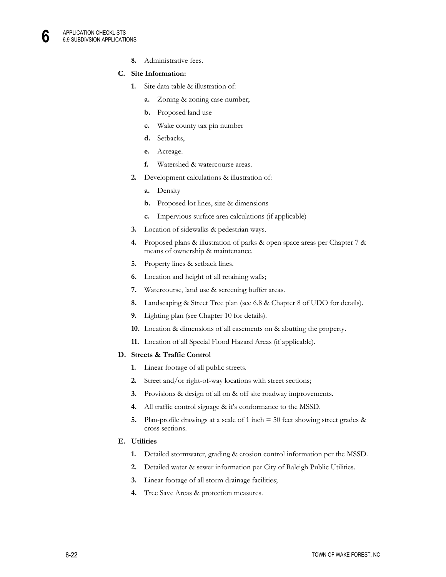**8.** Administrative fees.

#### **C. Site Information:**

- **1.** Site data table & illustration of:
	- **a.** Zoning & zoning case number;
	- **b.** Proposed land use
	- **c.** Wake county tax pin number
	- **d.** Setbacks,
	- **e.** Acreage.
	- **f.** Watershed & watercourse areas.
- **2.** Development calculations & illustration of:
	- **a.** Density
	- **b.** Proposed lot lines, size & dimensions
	- **c.** Impervious surface area calculations (if applicable)
- **3.** Location of sidewalks & pedestrian ways.
- **4.** Proposed plans & illustration of parks & open space areas per Chapter 7 & means of ownership & maintenance.
- **5.** Property lines & setback lines.
- **6.** Location and height of all retaining walls;
- **7.** Watercourse, land use & screening buffer areas.
- **8.** Landscaping & Street Tree plan (see 6.8 & Chapter 8 of UDO for details).
- **9.** Lighting plan (see Chapter 10 for details).
- **10.** Location & dimensions of all easements on & abutting the property.
- **11.** Location of all Special Flood Hazard Areas (if applicable).

#### **D. Streets & Traffic Control**

- **1.** Linear footage of all public streets.
- **2.** Street and/or right-of-way locations with street sections;
- **3.** Provisions & design of all on & off site roadway improvements.
- **4.** All traffic control signage & it's conformance to the MSSD.
- **5.** Plan-profile drawings at a scale of 1 inch = 50 feet showing street grades & cross sections.

#### **E. Utilities**

- **1.** Detailed stormwater, grading & erosion control information per the MSSD.
- **2.** Detailed water & sewer information per City of Raleigh Public Utilities.
- **3.** Linear footage of all storm drainage facilities;
- **4.** Tree Save Areas & protection measures.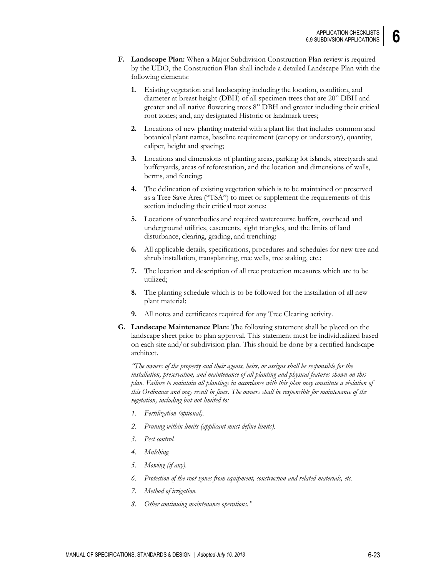- **F. Landscape Plan:** When a Major Subdivision Construction Plan review is required by the UDO, the Construction Plan shall include a detailed Landscape Plan with the following elements:
	- **1.** Existing vegetation and landscaping including the location, condition, and diameter at breast height (DBH) of all specimen trees that are 20" DBH and greater and all native flowering trees 8" DBH and greater including their critical root zones; and, any designated Historic or landmark trees;
	- **2.** Locations of new planting material with a plant list that includes common and botanical plant names, baseline requirement (canopy or understory), quantity, caliper, height and spacing;
	- **3.** Locations and dimensions of planting areas, parking lot islands, streetyards and bufferyards, areas of reforestation, and the location and dimensions of walls, berms, and fencing;
	- **4.** The delineation of existing vegetation which is to be maintained or preserved as a Tree Save Area ("TSA") to meet or supplement the requirements of this section including their critical root zones;
	- **5.** Locations of waterbodies and required watercourse buffers, overhead and underground utilities, easements, sight triangles, and the limits of land disturbance, clearing, grading, and trenching:
	- **6.** All applicable details, specifications, procedures and schedules for new tree and shrub installation, transplanting, tree wells, tree staking, etc.;
	- **7.** The location and description of all tree protection measures which are to be utilized;
	- **8.** The planting schedule which is to be followed for the installation of all new plant material;
	- **9.** All notes and certificates required for any Tree Clearing activity.
- **G. Landscape Maintenance Plan:** The following statement shall be placed on the landscape sheet prior to plan approval. This statement must be individualized based on each site and/or subdivision plan. This should be done by a certified landscape architect.

*"The owners of the property and their agents, heirs, or assigns shall be responsible for the installation, preservation, and maintenance of all planting and physical features shown on this plan. Failure to maintain all plantings in accordance with this plan may constitute a violation of this Ordinance and may result in fines. The owners shall be responsible for maintenance of the vegetation, including but not limited to:*

- *1. Fertilization (optional).*
- *2. Pruning within limits (applicant must define limits).*
- *3. Pest control.*
- *4. Mulching.*
- *5. Mowing (if any).*
- *6. Protection of the root zones from equipment, construction and related materials, etc.*
- *7. Method of irrigation.*
- *8. Other continuing maintenance operations."*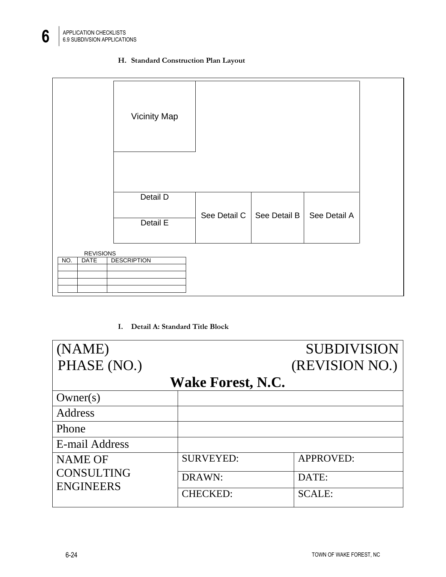## **H. Standard Construction Plan Layout**



## **I. Detail A: Standard Title Block**

| (NAME)                                                  |                  | <b>SUBDIVISION</b> |  |  |
|---------------------------------------------------------|------------------|--------------------|--|--|
| PHASE (NO.)                                             |                  | (REVISION NO.)     |  |  |
| <b>Wake Forest, N.C.</b>                                |                  |                    |  |  |
| Owner(s)                                                |                  |                    |  |  |
| Address                                                 |                  |                    |  |  |
| Phone                                                   |                  |                    |  |  |
| E-mail Address                                          |                  |                    |  |  |
| <b>NAME OF</b><br><b>CONSULTING</b><br><b>ENGINEERS</b> | <b>SURVEYED:</b> | <b>APPROVED:</b>   |  |  |
|                                                         | DRAWN:           | DATE:              |  |  |
|                                                         | <b>CHECKED:</b>  | <b>SCALE:</b>      |  |  |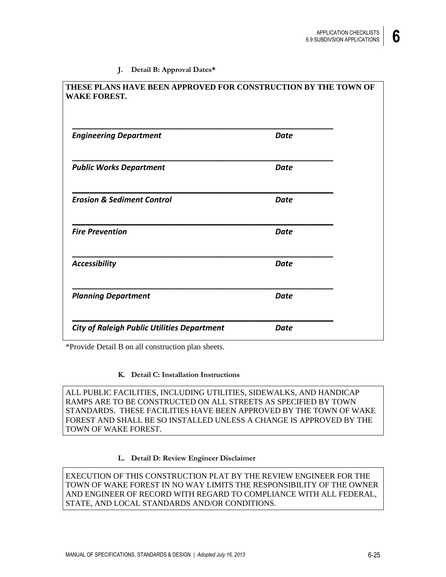#### **J. Detail B: Approval Dates\***

| THESE PLANS HAVE BEEN APPROVED FOR CONSTRUCTION BY THE TOWN OF<br><b>WAKE FOREST.</b> |      |  |
|---------------------------------------------------------------------------------------|------|--|
| <b>Engineering Department</b>                                                         | Date |  |
| <b>Public Works Department</b>                                                        | Date |  |
| <b>Erosion &amp; Sediment Control</b>                                                 | Date |  |
| <b>Fire Prevention</b>                                                                | Date |  |
| Accessibility                                                                         | Date |  |
| <b>Planning Department</b>                                                            | Date |  |
| <b>City of Raleigh Public Utilities Department</b>                                    | Date |  |

\*Provide Detail B on all construction plan sheets.

#### **K. Detail C: Installation Instructions**

ALL PUBLIC FACILITIES, INCLUDING UTILITIES, SIDEWALKS, AND HANDICAP RAMPS ARE TO BE CONSTRUCTED ON ALL STREETS AS SPECIFIED BY TOWN STANDARDS. THESE FACILITIES HAVE BEEN APPROVED BY THE TOWN OF WAKE FOREST AND SHALL BE SO INSTALLED UNLESS A CHANGE IS APPROVED BY THE TOWN OF WAKE FOREST.

#### **L. Detail D: Review Engineer Disclaimer**

EXECUTION OF THIS CONSTRUCTION PLAT BY THE REVIEW ENGINEER FOR THE TOWN OF WAKE FOREST IN NO WAY LIMITS THE RESPONSIBILITY OF THE OWNER AND ENGINEER OF RECORD WITH REGARD TO COMPLIANCE WITH ALL FEDERAL, STATE, AND LOCAL STANDARDS AND/OR CONDITIONS.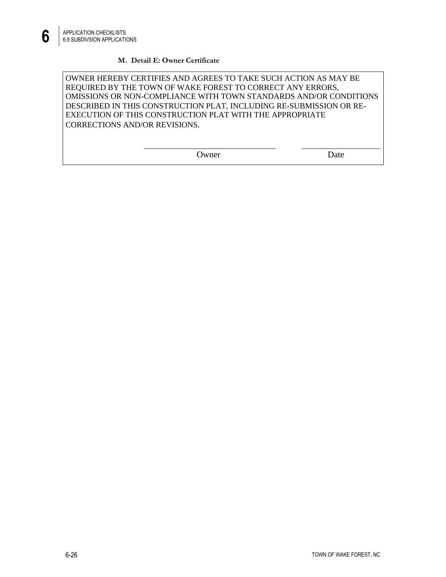## **M. Detail E: Owner Certificate**

OWNER HEREBY CERTIFIES AND AGREES TO TAKE SUCH ACTION AS MAY BE REQUIRED BY THE TOWN OF WAKE FOREST TO CORRECT ANY ERRORS, OMISSIONS OR NON-COMPLIANCE WITH TOWN STANDARDS AND/OR CONDITIONS DESCRIBED IN THIS CONSTRUCTION PLAT, INCLUDING RE-SUBMISSION OR RE-EXECUTION OF THIS CONSTRUCTION PLAT WITH THE APPROPRIATE CORRECTIONS AND/OR REVISIONS.

| wner |
|------|
|      |

Date